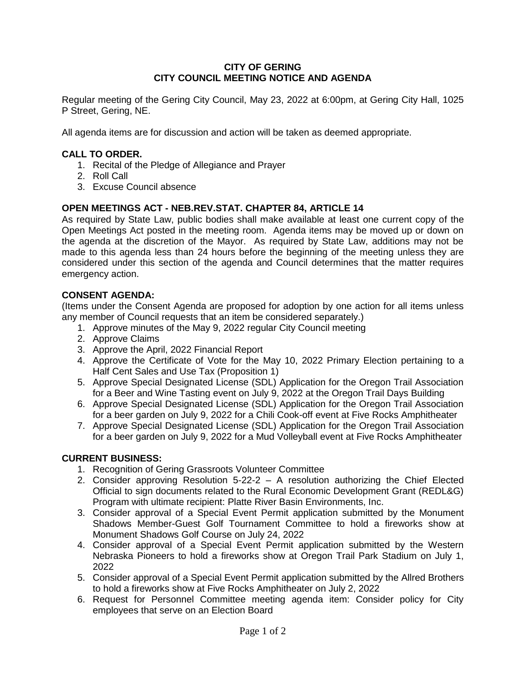#### **CITY OF GERING CITY COUNCIL MEETING NOTICE AND AGENDA**

Regular meeting of the Gering City Council, May 23, 2022 at 6:00pm, at Gering City Hall, 1025 P Street, Gering, NE.

All agenda items are for discussion and action will be taken as deemed appropriate.

## **CALL TO ORDER.**

- 1. Recital of the Pledge of Allegiance and Prayer
- 2. Roll Call
- 3. Excuse Council absence

### **OPEN MEETINGS ACT - NEB.REV.STAT. CHAPTER 84, ARTICLE 14**

As required by State Law, public bodies shall make available at least one current copy of the Open Meetings Act posted in the meeting room. Agenda items may be moved up or down on the agenda at the discretion of the Mayor. As required by State Law, additions may not be made to this agenda less than 24 hours before the beginning of the meeting unless they are considered under this section of the agenda and Council determines that the matter requires emergency action.

#### **CONSENT AGENDA:**

(Items under the Consent Agenda are proposed for adoption by one action for all items unless any member of Council requests that an item be considered separately.)

- 1. Approve minutes of the May 9, 2022 regular City Council meeting
- 2. Approve Claims
- 3. Approve the April, 2022 Financial Report
- 4. Approve the Certificate of Vote for the May 10, 2022 Primary Election pertaining to a Half Cent Sales and Use Tax (Proposition 1)
- 5. Approve Special Designated License (SDL) Application for the Oregon Trail Association for a Beer and Wine Tasting event on July 9, 2022 at the Oregon Trail Days Building
- 6. Approve Special Designated License (SDL) Application for the Oregon Trail Association for a beer garden on July 9, 2022 for a Chili Cook-off event at Five Rocks Amphitheater
- 7. Approve Special Designated License (SDL) Application for the Oregon Trail Association for a beer garden on July 9, 2022 for a Mud Volleyball event at Five Rocks Amphitheater

#### **CURRENT BUSINESS:**

- 1. Recognition of Gering Grassroots Volunteer Committee
- 2. Consider approving Resolution 5-22-2 A resolution authorizing the Chief Elected Official to sign documents related to the Rural Economic Development Grant (REDL&G) Program with ultimate recipient: Platte River Basin Environments, Inc.
- 3. Consider approval of a Special Event Permit application submitted by the Monument Shadows Member-Guest Golf Tournament Committee to hold a fireworks show at Monument Shadows Golf Course on July 24, 2022
- 4. Consider approval of a Special Event Permit application submitted by the Western Nebraska Pioneers to hold a fireworks show at Oregon Trail Park Stadium on July 1, 2022
- 5. Consider approval of a Special Event Permit application submitted by the Allred Brothers to hold a fireworks show at Five Rocks Amphitheater on July 2, 2022
- 6. Request for Personnel Committee meeting agenda item: Consider policy for City employees that serve on an Election Board